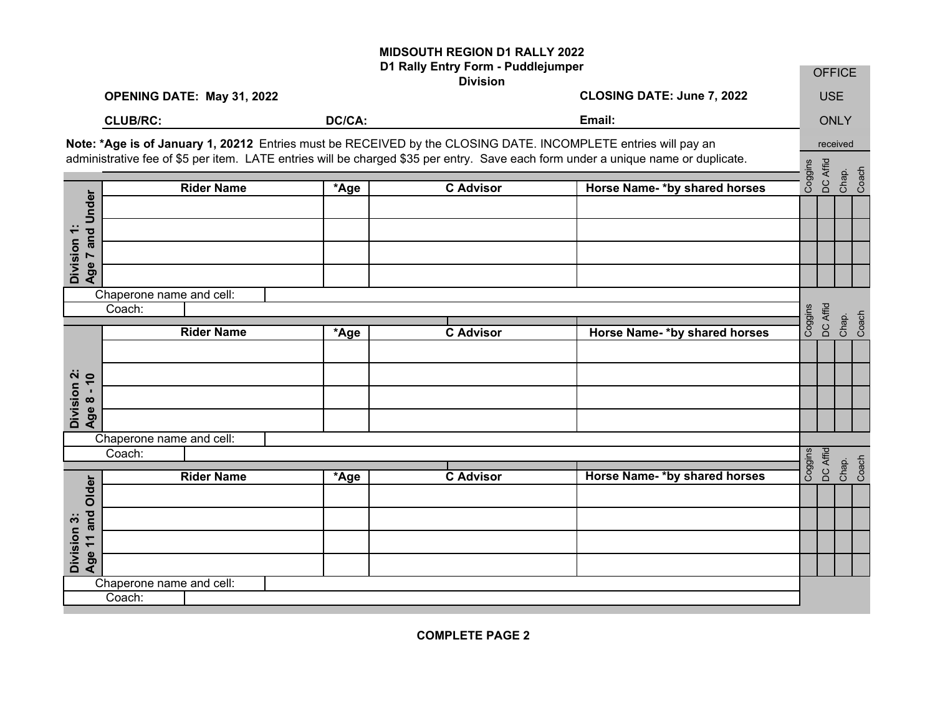## **MIDSOUTH REGION D1 RALLY 2022**

|                                    | D1 Rally Entry Form - Puddlejumper<br><b>Division</b>                                                                                                                                                                                               |        |                  |                              |         | <b>OFFICE</b> |                |  |  |
|------------------------------------|-----------------------------------------------------------------------------------------------------------------------------------------------------------------------------------------------------------------------------------------------------|--------|------------------|------------------------------|---------|---------------|----------------|--|--|
|                                    | OPENING DATE: May 31, 2022                                                                                                                                                                                                                          |        |                  | CLOSING DATE: June 7, 2022   |         | <b>USE</b>    |                |  |  |
|                                    | <b>CLUB/RC:</b>                                                                                                                                                                                                                                     | DC/CA: |                  | Email:                       |         | <b>ONLY</b>   |                |  |  |
|                                    | Note: *Age is of January 1, 20212 Entries must be RECEIVED by the CLOSING DATE. INCOMPLETE entries will pay an<br>administrative fee of \$5 per item. LATE entries will be charged \$35 per entry. Save each form under a unique name or duplicate. |        |                  |                              |         |               | received       |  |  |
|                                    | <b>Rider Name</b>                                                                                                                                                                                                                                   | *Age   | <b>C</b> Advisor | Horse Name-*by shared horses | Coggins | DC Affid      | Chap.<br>Coach |  |  |
|                                    |                                                                                                                                                                                                                                                     |        |                  |                              |         |               |                |  |  |
| Age 7 and Under                    |                                                                                                                                                                                                                                                     |        |                  |                              |         |               |                |  |  |
|                                    |                                                                                                                                                                                                                                                     |        |                  |                              |         |               |                |  |  |
| Division 1:                        |                                                                                                                                                                                                                                                     |        |                  |                              |         |               |                |  |  |
|                                    | Chaperone name and cell:                                                                                                                                                                                                                            |        |                  |                              |         |               |                |  |  |
|                                    | Coach:                                                                                                                                                                                                                                              |        |                  |                              | Coggins | DC Affid      | Chap.<br>Coach |  |  |
|                                    | <b>Rider Name</b>                                                                                                                                                                                                                                   | *Age   | <b>C</b> Advisor | Horse Name-*by shared horses |         |               |                |  |  |
|                                    |                                                                                                                                                                                                                                                     |        |                  |                              |         |               |                |  |  |
| Division 2:<br>Age 8 - 10          |                                                                                                                                                                                                                                                     |        |                  |                              |         |               |                |  |  |
| Age 8                              |                                                                                                                                                                                                                                                     |        |                  |                              |         |               |                |  |  |
|                                    |                                                                                                                                                                                                                                                     |        |                  |                              |         |               |                |  |  |
|                                    | Chaperone name and cell:<br>Coach:                                                                                                                                                                                                                  |        |                  |                              |         |               |                |  |  |
|                                    |                                                                                                                                                                                                                                                     |        |                  |                              | Coggins | DC Affid      | Chap.<br>Coach |  |  |
|                                    | <b>Rider Name</b>                                                                                                                                                                                                                                   | *Age   | <b>C Advisor</b> | Horse Name-*by shared horses |         |               |                |  |  |
|                                    |                                                                                                                                                                                                                                                     |        |                  |                              |         |               |                |  |  |
|                                    |                                                                                                                                                                                                                                                     |        |                  |                              |         |               |                |  |  |
| Age 11 and Older<br>Division 3:    |                                                                                                                                                                                                                                                     |        |                  |                              |         |               |                |  |  |
|                                    |                                                                                                                                                                                                                                                     |        |                  |                              |         |               |                |  |  |
| Chaperone name and cell:<br>Coach: |                                                                                                                                                                                                                                                     |        |                  |                              |         |               |                |  |  |
|                                    |                                                                                                                                                                                                                                                     |        |                  |                              |         |               |                |  |  |

**COMPLETE PAGE 2**